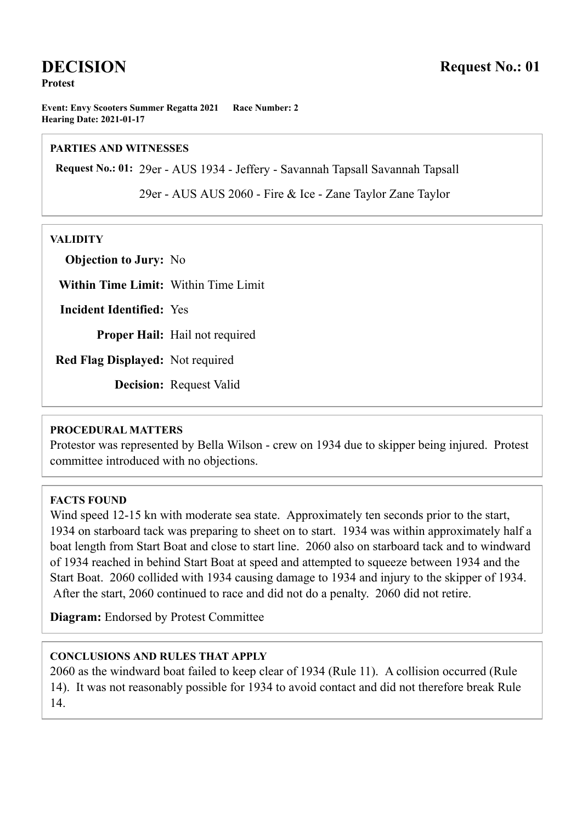# **DECISION**

**Protest**

**Event: Envy Scooters Summer Regatta 2021 Race Number: 2 Hearing Date: 2021-01-17**

#### **PARTIES AND WITNESSES**

**Request No.: 01:** 29er - AUS 1934 - Jeffery - Savannah Tapsall Savannah Tapsall

29er - AUS AUS 2060 - Fire & Ice - Zane Taylor Zane Taylor

#### **VALIDITY**

**Objection to Jury:** No

**Within Time Limit:** Within Time Limit

**Incident Identified:** Yes

**Proper Hail:** Hail not required

**Red Flag Displayed:** Not required

**Decision:** Request Valid

#### **PROCEDURAL MATTERS**

Protestor was represented by Bella Wilson - crew on 1934 due to skipper being injured. Protest committee introduced with no objections.

## **FACTS FOUND**

Wind speed 12-15 kn with moderate sea state. Approximately ten seconds prior to the start, 1934 on starboard tack was preparing to sheet on to start. 1934 was within approximately half a boat length from Start Boat and close to start line. 2060 also on starboard tack and to windward of 1934 reached in behind Start Boat at speed and attempted to squeeze between 1934 and the Start Boat. 2060 collided with 1934 causing damage to 1934 and injury to the skipper of 1934. After the start, 2060 continued to race and did not do a penalty. 2060 did not retire.

**Diagram:** Endorsed by Protest Committee

### **CONCLUSIONS AND RULES THAT APPLY**

2060 as the windward boat failed to keep clear of 1934 (Rule 11). A collision occurred (Rule 14). It was not reasonably possible for 1934 to avoid contact and did not therefore break Rule 14.